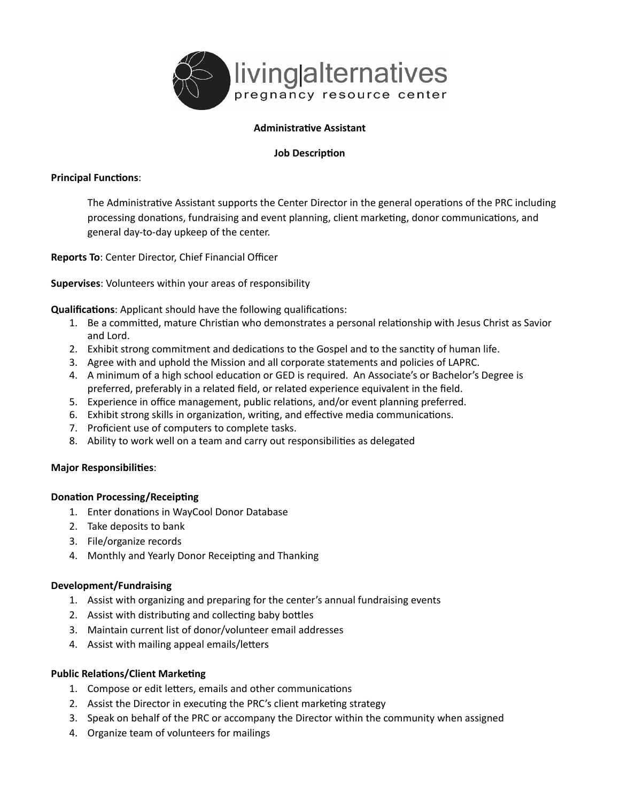

# **Administrative Assistant**

#### **Job Description**

## **Principal Functions:**

The Administrative Assistant supports the Center Director in the general operations of the PRC including processing donations, fundraising and event planning, client marketing, donor communications, and general day-to-day upkeep of the center.

**Reports To**: Center Director, Chief Financial Officer

**Supervises**: Volunteers within your areas of responsibility

**Qualifications:** Applicant should have the following qualifications:

- 1. Be a committed, mature Christian who demonstrates a personal relationship with Jesus Christ as Savior and Lord.
- 2. Exhibit strong commitment and dedications to the Gospel and to the sanctity of human life.
- 3. Agree with and uphold the Mission and all corporate statements and policies of LAPRC.
- 4. A minimum of a high school education or GED is required. An Associate's or Bachelor's Degree is preferred, preferably in a related field, or related experience equivalent in the field.
- 5. Experience in office management, public relations, and/or event planning preferred.
- 6. Exhibit strong skills in organization, writing, and effective media communications.
- 7. Proficient use of computers to complete tasks.
- 8. Ability to work well on a team and carry out responsibilities as delegated

# **Major Responsibilities:**

#### **Donation Processing/Receipting**

- 1. Enter donations in WayCool Donor Database
- 2. Take deposits to bank
- 3. File/organize records
- 4. Monthly and Yearly Donor Receipting and Thanking

#### **Development/Fundraising**

- 1. Assist with organizing and preparing for the center's annual fundraising events
- 2. Assist with distributing and collecting baby bottles
- 3. Maintain current list of donor/volunteer email addresses
- 4. Assist with mailing appeal emails/letters

#### **Public Relations/Client Marketing**

- 1. Compose or edit letters, emails and other communications
- 2. Assist the Director in executing the PRC's client marketing strategy
- 3. Speak on behalf of the PRC or accompany the Director within the community when assigned
- 4. Organize team of volunteers for mailings